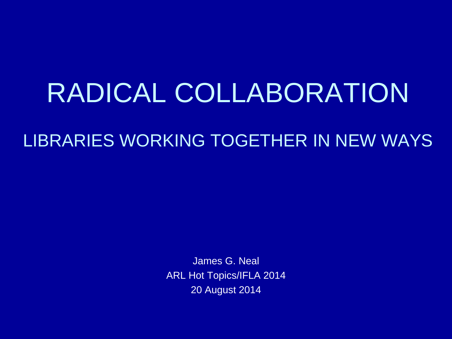## RADICAL COLLABORATION

#### LIBRARIES WORKING TOGETHER IN NEW WAYS

James G. Neal ARL Hot Topics/IFLA 2014 20 August 2014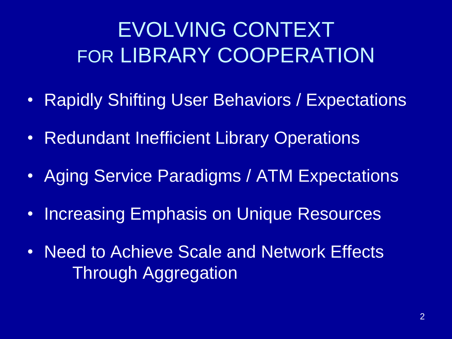## EVOLVING CONTEXT FOR LIBRARY COOPERATION

- Rapidly Shifting User Behaviors / Expectations
- Redundant Inefficient Library Operations
- Aging Service Paradigms / ATM Expectations
- Increasing Emphasis on Unique Resources
- Need to Achieve Scale and Network Effects Through Aggregation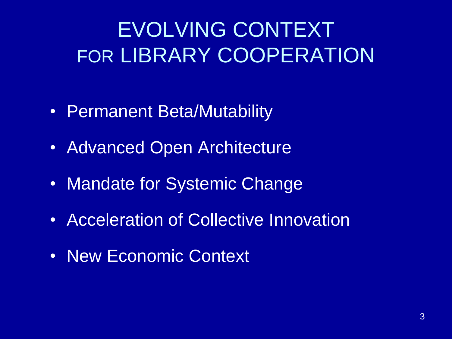## EVOLVING CONTEXT FOR LIBRARY COOPERATION

- Permanent Beta/Mutability
- Advanced Open Architecture
- Mandate for Systemic Change
- Acceleration of Collective Innovation
- New Economic Context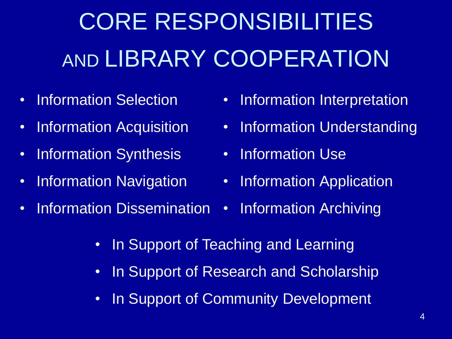# CORE RESPONSIBILITIES AND LIBRARY COOPERATION

- Information Selection
- Information Acquisition
- Information Synthesis
- Information Navigation
- Information Dissemination
- Information Interpretation
- Information Understanding
- Information Use
- Information Application
- Information Archiving
- In Support of Teaching and Learning
- In Support of Research and Scholarship
- In Support of Community Development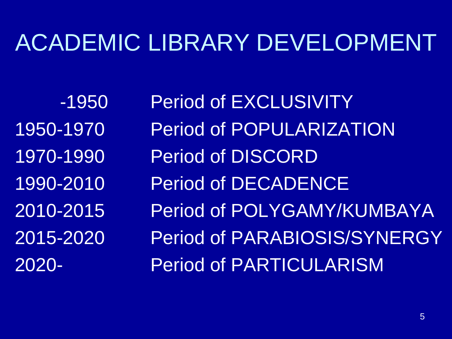## ACADEMIC LIBRARY DEVELOPMENT

-1950 Period of EXCLUSIVITY 1950-1970 Period of POPULARIZATION 1970-1990 Period of DISCORD 1990-2010 Period of DECADENCE 2010-2015 Period of POLYGAMY/KUMBAYA 2015-2020 Period of PARABIOSIS/SYNERGY 2020- Period of PARTICULARISM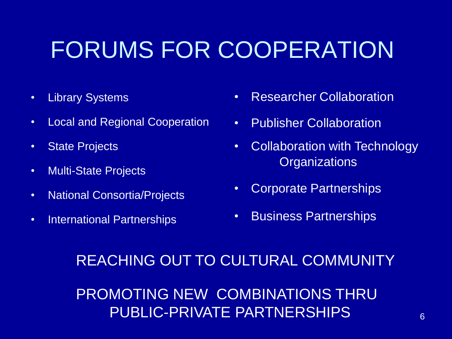## FORUMS FOR COOPERATION

- Library Systems
- Local and Regional Cooperation
- State Projects
- Multi-State Projects
- National Consortia/Projects
- International Partnerships
- Researcher Collaboration
- **Publisher Collaboration**
- Collaboration with Technology **Organizations**
- Corporate Partnerships
- Business Partnerships

#### REACHING OUT TO CULTURAL COMMUNITY

PROMOTING NEW COMBINATIONS THRU PUBLIC-PRIVATE PARTNERSHIPS 6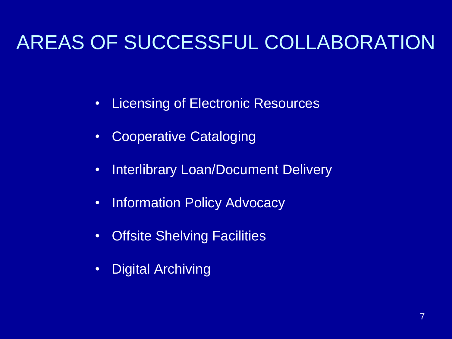### AREAS OF SUCCESSFUL COLLABORATION

- Licensing of Electronic Resources
- Cooperative Cataloging
- Interlibrary Loan/Document Delivery
- Information Policy Advocacy
- Offsite Shelving Facilities
- Digital Archiving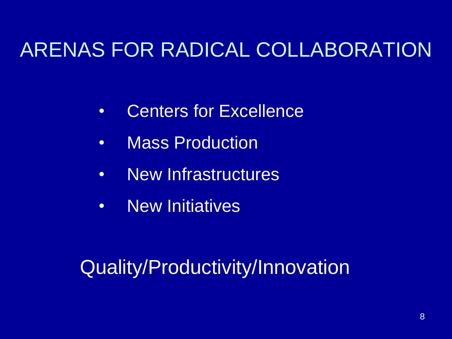### ARENAS FOR RADICAL COLLABORATION

- Centers for Excellence
- Mass Production
- New Infrastructures
- New Initiatives

### Quality/Productivity/Innovation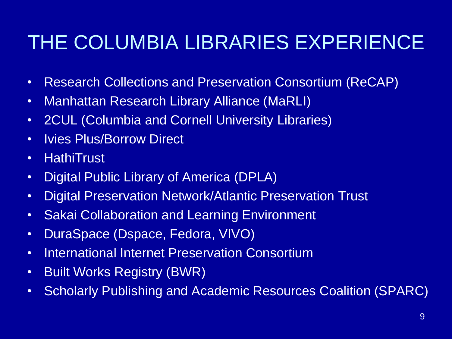### THE COLUMBIA LIBRARIES EXPERIENCE

- Research Collections and Preservation Consortium (ReCAP)
- Manhattan Research Library Alliance (MaRLI)
- 2CUL (Columbia and Cornell University Libraries)
- Ivies Plus/Borrow Direct
- HathiTrust
- Digital Public Library of America (DPLA)
- Digital Preservation Network/Atlantic Preservation Trust
- Sakai Collaboration and Learning Environment
- DuraSpace (Dspace, Fedora, VIVO)
- International Internet Preservation Consortium
- Built Works Registry (BWR)
- Scholarly Publishing and Academic Resources Coalition (SPARC)